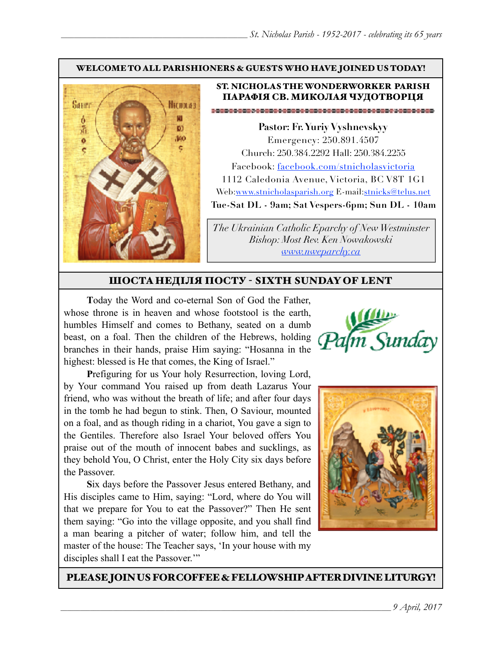#### WELCOME TO ALL PARISHIONERS & GUESTS WHO HAVE JOINED US TODAY!



### ST. NICHOLAS THE WONDERWORKER PARISH ПАРАФІЯ СВ. МИКОЛАЯ ЧУДОТВОРЦЯ

**Pastor: Fr. Yuriy Vyshnevskyy** Emergency: 250.891.4507 Church: 250.384.2292 Hall: 250.384.2255 Facebook: facebook.com/stnicholasvictoria 1112 Caledonia Avenue, Victoria, BC V8T 1G1 Web[:www.stnicholasparish.org](http://www.stnicholasparish.org) E-mail:[stnicks@telus.net](mailto:stnicks@telus.net) **Tue-Sat DL - 9am; Sat Vespers-6pm; Sun DL - 10am**

*The Ukrainian Catholic Eparchy of New Westminster Bishop: Most Rev. Ken Nowakowski [www.nweparchy.ca](http://www.nweparchy.ca)*

#### ШОСТАНЕДІЛЯ ПОСТУ - SIXTH SUNDAY OF LENT

**T**oday the Word and co-eternal Son of God the Father, whose throne is in heaven and whose footstool is the earth, humbles Himself and comes to Bethany, seated on a dumb beast, on a foal. Then the children of the Hebrews, holding branches in their hands, praise Him saying: "Hosanna in the highest: blessed is He that comes, the King of Israel."

**P**refiguring for us Your holy Resurrection, loving Lord, by Your command You raised up from death Lazarus Your friend, who was without the breath of life; and after four days in the tomb he had begun to stink. Then, O Saviour, mounted on a foal, and as though riding in a chariot, You gave a sign to the Gentiles. Therefore also Israel Your beloved offers You praise out of the mouth of innocent babes and sucklings, as they behold You, O Christ, enter the Holy City six days before the Passover.

**S**ix days before the Passover Jesus entered Bethany, and His disciples came to Him, saying: "Lord, where do You will that we prepare for You to eat the Passover?" Then He sent them saying: "Go into the village opposite, and you shall find a man bearing a pitcher of water; follow him, and tell the master of the house: The Teacher says, 'In your house with my disciples shall I eat the Passover.'"





PLEASE JOIN US FOR COFFEE & FELLOWSHIP AFTER DIVINE LITURGY!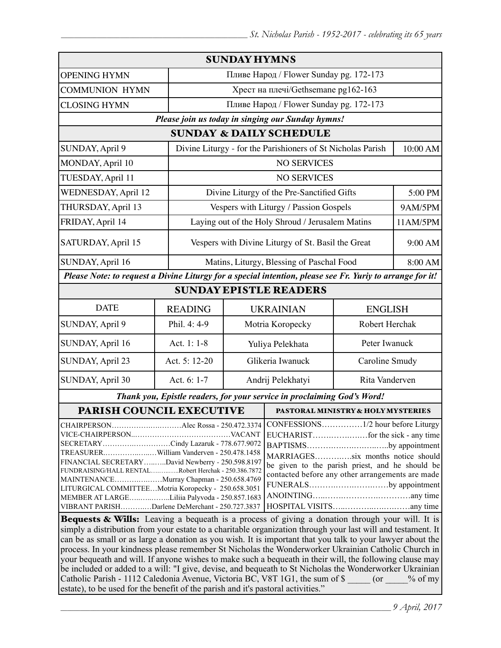| <b>SUNDAY HYMNS</b>                                                                                                                                                                                                                                                                                                                       |                                                                                                                                                                                              |                                                             |                                                  |                                           |               |  |
|-------------------------------------------------------------------------------------------------------------------------------------------------------------------------------------------------------------------------------------------------------------------------------------------------------------------------------------------|----------------------------------------------------------------------------------------------------------------------------------------------------------------------------------------------|-------------------------------------------------------------|--------------------------------------------------|-------------------------------------------|---------------|--|
| <b>OPENING HYMN</b>                                                                                                                                                                                                                                                                                                                       |                                                                                                                                                                                              | Пливе Народ / Flower Sunday pg. 172-173                     |                                                  |                                           |               |  |
| <b>COMMUNION HYMN</b>                                                                                                                                                                                                                                                                                                                     |                                                                                                                                                                                              | Хрест на плечі/Gethsemane pg162-163                         |                                                  |                                           |               |  |
| <b>CLOSING HYMN</b>                                                                                                                                                                                                                                                                                                                       |                                                                                                                                                                                              | Пливе Народ / Flower Sunday pg. 172-173                     |                                                  |                                           |               |  |
| Please join us today in singing our Sunday hymns!                                                                                                                                                                                                                                                                                         |                                                                                                                                                                                              |                                                             |                                                  |                                           |               |  |
| <b>SUNDAY &amp; DAILY SCHEDULE</b>                                                                                                                                                                                                                                                                                                        |                                                                                                                                                                                              |                                                             |                                                  |                                           |               |  |
| SUNDAY, April 9                                                                                                                                                                                                                                                                                                                           |                                                                                                                                                                                              | Divine Liturgy - for the Parishioners of St Nicholas Parish |                                                  | 10:00 AM                                  |               |  |
| MONDAY, April 10                                                                                                                                                                                                                                                                                                                          |                                                                                                                                                                                              |                                                             | <b>NO SERVICES</b>                               |                                           |               |  |
| TUESDAY, April 11<br><b>NO SERVICES</b>                                                                                                                                                                                                                                                                                                   |                                                                                                                                                                                              |                                                             |                                                  |                                           |               |  |
| <b>WEDNESDAY, April 12</b>                                                                                                                                                                                                                                                                                                                |                                                                                                                                                                                              |                                                             | Divine Liturgy of the Pre-Sanctified Gifts       |                                           | 5:00 PM       |  |
| THURSDAY, April 13                                                                                                                                                                                                                                                                                                                        |                                                                                                                                                                                              |                                                             | Vespers with Liturgy / Passion Gospels           |                                           | 9AM/5PM       |  |
| FRIDAY, April 14                                                                                                                                                                                                                                                                                                                          |                                                                                                                                                                                              |                                                             | Laying out of the Holy Shroud / Jerusalem Matins |                                           | 11AM/5PM      |  |
| SATURDAY, April 15                                                                                                                                                                                                                                                                                                                        |                                                                                                                                                                                              | Vespers with Divine Liturgy of St. Basil the Great          |                                                  |                                           | 9:00 AM       |  |
| SUNDAY, April 16                                                                                                                                                                                                                                                                                                                          |                                                                                                                                                                                              |                                                             |                                                  | Matins, Liturgy, Blessing of Paschal Food |               |  |
| Please Note: to request a Divine Liturgy for a special intention, please see Fr. Yuriy to arrange for it!                                                                                                                                                                                                                                 |                                                                                                                                                                                              |                                                             |                                                  |                                           |               |  |
| <b>SUNDAY EPISTLE READERS</b>                                                                                                                                                                                                                                                                                                             |                                                                                                                                                                                              |                                                             |                                                  |                                           |               |  |
| <b>DATE</b>                                                                                                                                                                                                                                                                                                                               | <b>READING</b>                                                                                                                                                                               | <b>UKRAINIAN</b>                                            |                                                  | <b>ENGLISH</b>                            |               |  |
| SUNDAY, April 9                                                                                                                                                                                                                                                                                                                           | Phil. 4: 4-9                                                                                                                                                                                 |                                                             | Motria Koropecky                                 | Robert Herchak                            |               |  |
| SUNDAY, April 16                                                                                                                                                                                                                                                                                                                          | Act. 1: 1-8                                                                                                                                                                                  | Yuliya Pelekhata                                            |                                                  |                                           | Peter Iwanuck |  |
| SUNDAY, April 23                                                                                                                                                                                                                                                                                                                          | Act. 5: 12-20                                                                                                                                                                                | Glikeria Iwanuck                                            |                                                  | Caroline Smudy                            |               |  |
| SUNDAY, April 30                                                                                                                                                                                                                                                                                                                          | Act. 6: 1-7                                                                                                                                                                                  | Andrij Pelekhatyi                                           |                                                  | Rita Vanderven                            |               |  |
| Thank you, Epistle readers, for your service in proclaiming God's Word!                                                                                                                                                                                                                                                                   |                                                                                                                                                                                              |                                                             |                                                  |                                           |               |  |
| <b>PARISH COUNCIL EXECUTIVE</b>                                                                                                                                                                                                                                                                                                           |                                                                                                                                                                                              |                                                             | <b>PASTORAL MINISTRY &amp; HOLY MYSTERIES</b>    |                                           |               |  |
| CHAIRPERSONAlec Rossa - 250.472.3374<br>SECRETARYCindy Lazaruk - 778.677.9072<br>TREASURERWilliam Vanderven - 250.478.1458<br>FINANCIAL SECRETARYDavid Newberry - 250.598.8197<br>FUNDRAISING/HALL RENTALRobert Herchak - 250.386.7872<br>MAINTENANCEMurray Chapman - 250.658.4769<br>LITURGICAL COMMITTEEMotria Koropecky - 250.658.3051 | BAPTISMSby appointment<br>MARRIAGESsix months notice should<br>be given to the parish priest, and he should be<br>contacted before any other arrangements are made<br>FUNERALSby appointment |                                                             |                                                  |                                           |               |  |
| MEMBER AT LARGELiliia Palyvoda - 250.857.1683<br>VIBRANT PARISHDarlene DeMerchant - 250.727.3837<br>Bequests & Wills: Leaving a bequeath is a process of giving a donation through your will. It is                                                                                                                                       |                                                                                                                                                                                              |                                                             |                                                  |                                           |               |  |

simply a distribution from your estate to a charitable organization through your last will and testament. It can be as small or as large a donation as you wish. It is important that you talk to your lawyer about the process. In your kindness please remember St Nicholas the Wonderworker Ukrainian Catholic Church in your bequeath and will. If anyone wishes to make such a bequeath in their will, the following clause may be included or added to a will: "I give, devise, and bequeath to St Nicholas the Wonderworker Ukrainian Catholic Parish - 1112 Caledonia Avenue, Victoria BC, V8T 1G1, the sum of \$  $\qquad \qquad$  (or  $\qquad \qquad$  % of my estate), to be used for the benefit of the parish and it's pastoral activities."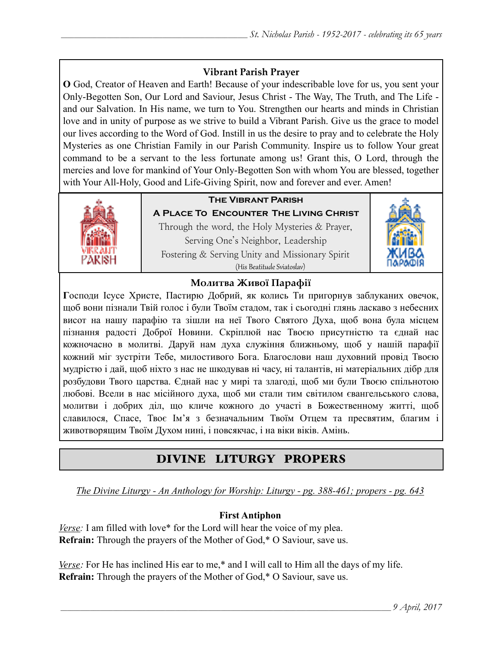# **Vibrant Parish Prayer**

**O** God, Creator of Heaven and Earth! Because of your indescribable love for us, you sent your Only-Begotten Son, Our Lord and Saviour, Jesus Christ - The Way, The Truth, and The Life and our Salvation. In His name, we turn to You. Strengthen our hearts and minds in Christian love and in unity of purpose as we strive to build a Vibrant Parish. Give us the grace to model our lives according to the Word of God. Instill in us the desire to pray and to celebrate the Holy Mysteries as one Christian Family in our Parish Community. Inspire us to follow Your great command to be a servant to the less fortunate among us! Grant this, O Lord, through the mercies and love for mankind of Your Only-Begotten Son with whom You are blessed, together with Your All-Holy, Good and Life-Giving Spirit, now and forever and ever. Amen!



# **The Vibrant Parish**

**A Place To Encounter The Living Christ** Through the word, the Holy Mysteries & Prayer, Serving One's Neighbor, Leadership Fostering & Serving Unity and Missionary Spirit (His Beatitude Sviatoslav)



# **Молитва Живої Парафії**

**Г**осподи Ісусе Христе, Пастирю Добрий, як колись Ти пригорнув заблуканих овечок, щоб вони пізнали Твій голос і були Твоїм стадом, так і сьогодні глянь ласкаво з небесних висот на нашу парафію та зішли на неї Твого Святого Духа, щоб вона була місцем пізнання радості Доброї Новини. Скріплюй нас Твоєю присутністю та єднай нас кожночасно в молитві. Даруй нам духа служіння ближньому, щоб у нашій парафії кожний міг зустріти Тебе, милостивого Бога. Благослови наш духовний провід Твоєю мудрістю і дай, щоб ніхто з нас не шкодував ні часу, ні талантів, ні матеріальних дібр для розбудови Твого царства. Єднай нас у мирі та злагоді, щоб ми були Твоєю спільнотою любові. Всели в нас місійного духа, щоб ми стали тим світилом євангельського слова, молитви і добрих діл, що кличе кожного до участі в Божественному житті, щоб славилося, Спасе, Твоє Ім'я з безначальним Твоїм Отцем та пресвятим, благим і животворящим Твоїм Духом нині, і повсякчас, і на віки віків. Амінь.

# DIVINE LITURGY PROPERS

*The Divine Liturgy - An Anthology for Worship: Liturgy - pg. 388-461; propers - pg. 643*

# **First Antiphon**

*Verse:* I am filled with love\* for the Lord will hear the voice of my plea. **Refrain:** Through the prayers of the Mother of God,\* O Saviour, save us.

*Verse:* For He has inclined His ear to me,\* and I will call to Him all the days of my life. **Refrain:** Through the prayers of the Mother of God,\* O Saviour, save us.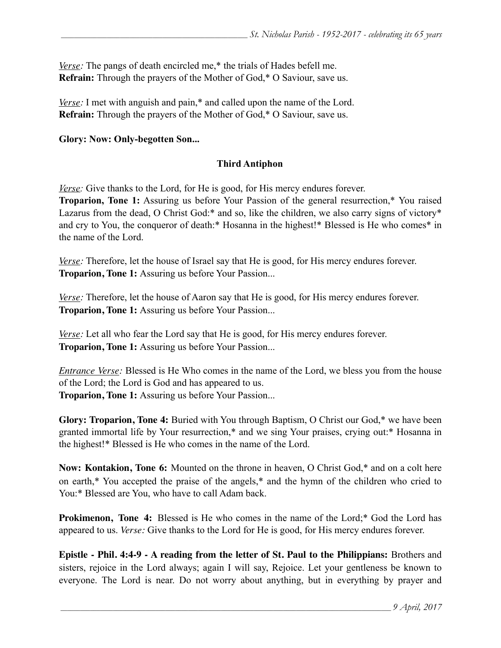*Verse:* The pangs of death encircled me,\* the trials of Hades befell me. **Refrain:** Through the prayers of the Mother of God,\* O Saviour, save us.

*Verse:* I met with anguish and pain,\* and called upon the name of the Lord. **Refrain:** Through the prayers of the Mother of God,\* O Saviour, save us.

### **Glory: Now: Only-begotten Son...**

### **Third Antiphon**

*Verse:* Give thanks to the Lord, for He is good, for His mercy endures forever. **Troparion, Tone 1:** Assuring us before Your Passion of the general resurrection,\* You raised Lazarus from the dead, O Christ God:\* and so, like the children, we also carry signs of victory\* and cry to You, the conqueror of death:\* Hosanna in the highest!\* Blessed is He who comes\* in the name of the Lord.

*Verse:* Therefore, let the house of Israel say that He is good, for His mercy endures forever. **Troparion, Tone 1:** Assuring us before Your Passion...

*Verse:* Therefore, let the house of Aaron say that He is good, for His mercy endures forever. **Troparion, Tone 1:** Assuring us before Your Passion...

*Verse:* Let all who fear the Lord say that He is good, for His mercy endures forever. **Troparion, Tone 1:** Assuring us before Your Passion...

*Entrance Verse:* Blessed is He Who comes in the name of the Lord, we bless you from the house of the Lord; the Lord is God and has appeared to us. **Troparion, Tone 1:** Assuring us before Your Passion...

**Glory: Troparion, Tone 4:** Buried with You through Baptism, O Christ our God,\* we have been granted immortal life by Your resurrection,\* and we sing Your praises, crying out:\* Hosanna in the highest!\* Blessed is He who comes in the name of the Lord.

**Now: Kontakion, Tone 6:** Mounted on the throne in heaven, O Christ God,\* and on a colt here on earth,\* You accepted the praise of the angels,\* and the hymn of the children who cried to You:\* Blessed are You, who have to call Adam back.

**Prokimenon, Tone 4:** Blessed is He who comes in the name of the Lord;<sup>\*</sup> God the Lord has appeared to us. *Verse:* Give thanks to the Lord for He is good, for His mercy endures forever.

**Epistle - Phil. 4:4-9 - A reading from the letter of St. Paul to the Philippians:** Brothers and sisters, rejoice in the Lord always; again I will say, Rejoice. Let your gentleness be known to everyone. The Lord is near. Do not worry about anything, but in everything by prayer and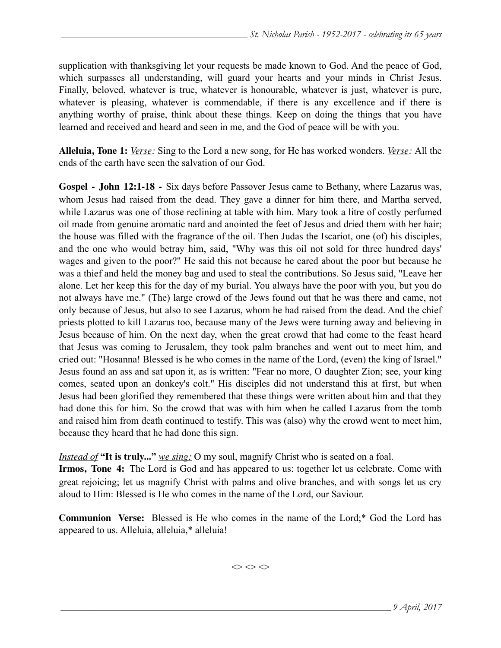supplication with thanksgiving let your requests be made known to God. And the peace of God, which surpasses all understanding, will guard your hearts and your minds in Christ Jesus. Finally, beloved, whatever is true, whatever is honourable, whatever is just, whatever is pure, whatever is pleasing, whatever is commendable, if there is any excellence and if there is anything worthy of praise, think about these things. Keep on doing the things that you have learned and received and heard and seen in me, and the God of peace will be with you.

**Alleluia, Tone 1:** *Verse:* Sing to the Lord a new song, for He has worked wonders. *Verse:* All the ends of the earth have seen the salvation of our God.

**Gospel - John 12:1-18 -** Six days before Passover Jesus came to Bethany, where Lazarus was, whom Jesus had raised from the dead. They gave a dinner for him there, and Martha served, while Lazarus was one of those reclining at table with him. Mary took a litre of costly perfumed oil made from genuine aromatic nard and anointed the feet of Jesus and dried them with her hair; the house was filled with the fragrance of the oil. Then Judas the Iscariot, one (of) his disciples, and the one who would betray him, said, "Why was this oil not sold for three hundred days' wages and given to the poor?" He said this not because he cared about the poor but because he was a thief and held the money bag and used to steal the contributions. So Jesus said, "Leave her alone. Let her keep this for the day of my burial. You always have the poor with you, but you do not always have me." (The) large crowd of the Jews found out that he was there and came, not only because of Jesus, but also to see Lazarus, whom he had raised from the dead. And the chief priests plotted to kill Lazarus too, because many of the Jews were turning away and believing in Jesus because of him. On the next day, when the great crowd that had come to the feast heard that Jesus was coming to Jerusalem, they took palm branches and went out to meet him, and cried out: "Hosanna! Blessed is he who comes in the name of the Lord, (even) the king of Israel." Jesus found an ass and sat upon it, as is written: "Fear no more, O daughter Zion; see, your king comes, seated upon an donkey's colt." His disciples did not understand this at first, but when Jesus had been glorified they remembered that these things were written about him and that they had done this for him. So the crowd that was with him when he called Lazarus from the tomb and raised him from death continued to testify. This was (also) why the crowd went to meet him, because they heard that he had done this sign.

*Instead of* **"It is truly..."** *we sing:* O my soul, magnify Christ who is seated on a foal.

**Irmos, Tone 4:** The Lord is God and has appeared to us: together let us celebrate. Come with great rejoicing; let us magnify Christ with palms and olive branches, and with songs let us cry aloud to Him: Blessed is He who comes in the name of the Lord, our Saviour.

**Communion Verse:** Blessed is He who comes in the name of the Lord;\* God the Lord has appeared to us. Alleluia, alleluia,\* alleluia!

 $\Leftrightarrow$   $\Leftrightarrow$   $\Leftrightarrow$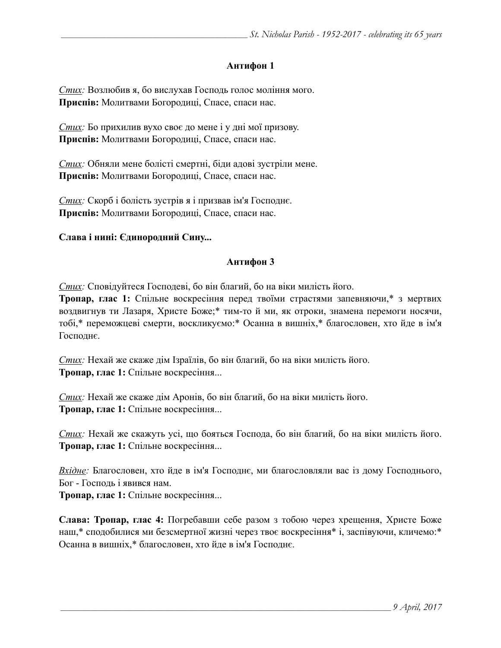#### **Антифон 1**

*Стих:* Возлюбив я, бо вислухав Господь голос моління мого. **Приспів:** Молитвами Богородиці, Спасе, спаси нас.

*Стих:* Бо прихилив вухо своє до мене і у дні мої призову. **Приспів:** Молитвами Богородиці, Спасе, спаси нас.

*Стих:* Обняли мене болісті смертні, біди адові зустріли мене. **Приспів:** Молитвами Богородиці, Спасе, спаси нас.

*Стих:* Скорб і болість зустрів я і призвав ім'я Господнє. **Приспів:** Молитвами Богородиці, Спасе, спаси нас.

#### **Слава і нині: Єдинородний Сину...**

#### **Антифон 3**

*Стих:* Сповідуйтеся Господеві, бо він благий, бо на віки милість його.

**Тропар, глас 1:** Спільне воскресіння перед твоїми страстями запевняючи,\* з мертвих воздвигнув ти Лазаря, Христе Боже;\* тим-то й ми, як отроки, знамена перемоги носячи, тобі,\* переможцеві смерти, воскликуємо:\* Осанна в вишніх,\* благословен, хто йде в ім'я Господнє.

*Стих:* Нехай же скаже дім Ізраїлів, бо він благий, бо на віки милість його. **Тропар, глас 1:** Спільне воскресіння...

*Стих:* Нехай же скаже дім Аронів, бо він благий, бо на віки милість його. **Тропар, глас 1:** Спільне воскресіння...

*Стих:* Нехай же скажуть усі, що бояться Господа, бо він благий, бо на віки милість його. **Тропар, глас 1:** Спільне воскресіння...

*Вхідне:* Благословен, хто йде в ім'я Господнє, ми благословляли вас із дому Господнього, Бог - Господь і явився нам.

**Тропар, глас 1:** Спільне воскресіння...

**Слава: Тропар, глас 4:** Погребавши себе разом з тобою через хрещення, Христе Боже наш,\* сподобилися ми безсмертної жизні через твоє воскресіння\* і, заспівуючи, кличемо:\* Осанна в вишніх,\* благословен, хто йде в ім'я Господнє.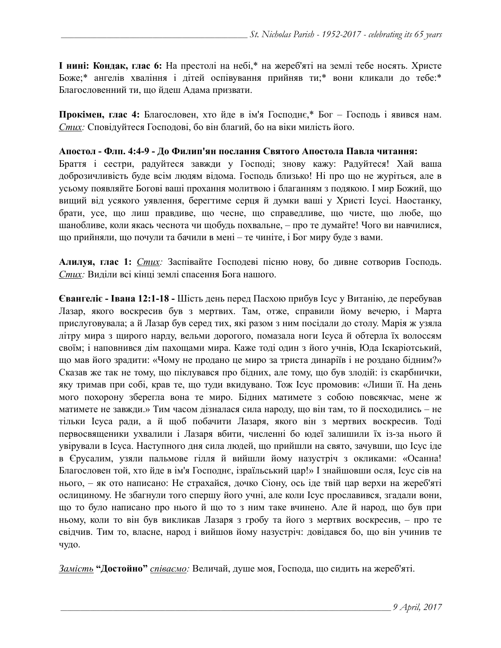**І нині: Кондак, глас 6:** На престолі на небі,\* на жереб'яті на землі тебе носять. Христе Боже;\* ангелів хваління і дітей оспівування прийняв ти;\* вони кликали до тебе:\* Благословенний ти, що йдеш Адама призвати.

**Прокімен, глас 4:** Благословен, хто йде в ім'я Господнє,\* Бог – Господь і явився нам. *Стих:* Сповідуйтеся Господові, бо він благий, бо на віки милість його.

#### **Апостол - Флп. 4:4-9 - До Филип'ян послання Святого Апостола Павла читання:**

Браття і сестри, радуйтеся завжди у Господі; знову кажу: Радуйтеся! Хай ваша доброзичливість буде всім людям відома. Господь близько! Ні про що не журіться, але в усьому появляйте Богові ваші прохання молитвою і благанням з подякою. І мир Божий, що вищий від усякого уявлення, берегтиме серця й думки ваші у Христі Ісусі. Наостанку, брати, усе, що лиш правдиве, що чесне, що справедливе, що чисте, що любе, що шанобливе, коли якась чеснота чи щобудь похвальне, – про те думайте! Чого ви навчилися, що прийняли, що почули та бачили в мені – те чиніте, і Бог миру буде з вами.

**Алилуя, глас 1:** *Стих:* Заспівайте Господеві пісню нову, бо дивне сотворив Господь. *Стих:* Виділи всі кінці землі спасення Бога нашого.

**Євангеліє - Івана 12:1-18 -** Шість день перед Пасхою прибув Ісус у Витанію, де перебував Лазар, якого воскресив був з мертвих. Там, отже, справили йому вечерю, і Марта прислуговувала; а й Лазар був серед тих, які разом з ним посідали до столу. Марія ж узяла літру мира з щирого нарду, вельми дорогого, помазала ноги Ісуса й обтерла їх волоссям своїм; і наповнився дім пахощами мира. Каже тоді один з його учнів, Юда Іскаріотський, що мав його зрадити: «Чому не продано це миро за триста динаріїв і не роздано бідним?» Сказав же так не тому, що піклувався про бідних, але тому, що був злодій: із скарбнички, яку тримав при собі, крав те, що туди вкидувано. Тож Ісус промовив: «Лиши її. На день мого похорону зберегла вона те миро. Бідних матимете з собою повсякчас, мене ж матимете не завжди.» Тим часом дізналася сила народу, що він там, то й посходились – не тільки Ісуса ради, а й щоб побачити Лазаря, якого він з мертвих воскресив. Тоді первосвященики ухвалили і Лазаря вбити, численні бо юдеї залишили їх із-за нього й увірували в Ісуса. Наступного дня сила людей, що прийшли на свято, зачувши, що Ісус іде в Єрусалим, узяли пальмове гілля й вийшли йому назустріч з окликами: «Осанна! Благословен той, хто йде в ім'я Господнє, ізраїльський цар!» І знайшовши осля, Ісус сів на нього, – як ото написано: Не страхайся, дочко Сіону, ось іде твій цар верхи на жереб'яті ослициному. Не збагнули того спершу його учні, але коли Ісус прославився, згадали вони, що то було написано про нього й що то з ним таке вчинено. Але й народ, що був при ньому, коли то він був викликав Лазаря з гробу та його з мертвих воскресив, – про те свідчив. Тим то, власне, народ і вийшов йому назустріч: довідався бо, що він учинив те чудо.

*Замість* **"Достойно"** *співаємо:* Величай, душе моя, Господа, що сидить на жереб'яті.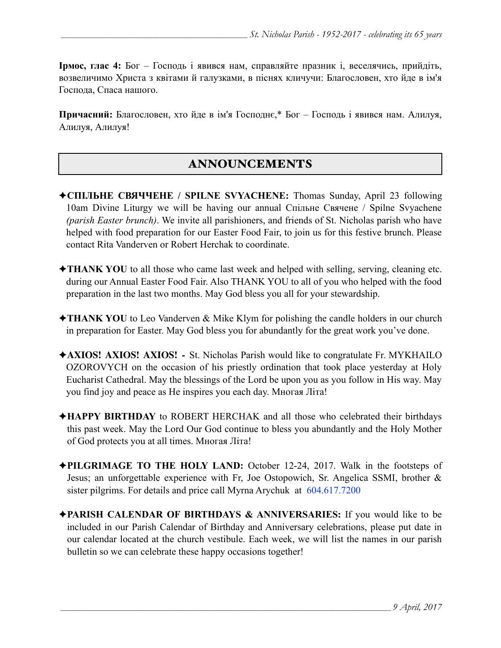**Ірмос, глас 4:** Бог – Господь і явився нам, справляйте празник і, веселячись, прийдіть, возвеличимо Христа з квітами й галузками, в піснях кличучи: Благословен, хто йде в ім'я Господа, Спаса нашого.

**Причасний:** Благословен, хто йде в ім'я Господнє,\* Бог – Господь і явився нам. Алилуя, Алилуя, Алилуя!

# ANNOUNCEMENTS

- ✦**СПІЛЬНЕ СВЯЧЧЕНЕ / SPILNE SVYACHENE:** Thomas Sunday, April 23 following 10am Divine Liturgy we will be having our annual Спільне Свячене / Spilne Svyachene *(parish Easter brunch)*. We invite all parishioners, and friends of St. Nicholas parish who have helped with food preparation for our Easter Food Fair, to join us for this festive brunch. Please contact Rita Vanderven or Robert Herchak to coordinate.
- ✦**THANK YOU** to all those who came last week and helped with selling, serving, cleaning etc. during our Annual Easter Food Fair. Also THANK YOU to all of you who helped with the food preparation in the last two months. May God bless you all for your stewardship.
- ✦**THANK YOU** to Leo Vanderven & Mike Klym for polishing the candle holders in our church in preparation for Easter. May God bless you for abundantly for the great work you've done.
- ✦**AXIOS! AXIOS! AXIOS!** St. Nicholas Parish would like to congratulate Fr. MYKHAILO OZOROVYCH on the occasion of his priestly ordination that took place yesterday at Holy Eucharist Cathedral. May the blessings of the Lord be upon you as you follow in His way. May you find joy and peace as He inspires you each day. Многая Літа!
- ✦**HAPPY BIRTHDAY** to ROBERT HERCHAK and all those who celebrated their birthdays this past week. May the Lord Our God continue to bless you abundantly and the Holy Mother of God protects you at all times. Многая Літа!
- ✦**PILGRIMAGE TO THE HOLY LAND:** October 12-24, 2017. Walk in the footsteps of Jesus; an unforgettable experience with Fr, Joe Ostopowich, Sr. Angelica SSMI, brother & sister pilgrims. For details and price call Myrna Arychuk at 604.617.7200
- ✦**PARISH CALENDAR OF BIRTHDAYS & ANNIVERSARIES:** If you would like to be included in our Parish Calendar of Birthday and Anniversary celebrations, please put date in our calendar located at the church vestibule. Each week, we will list the names in our parish bulletin so we can celebrate these happy occasions together!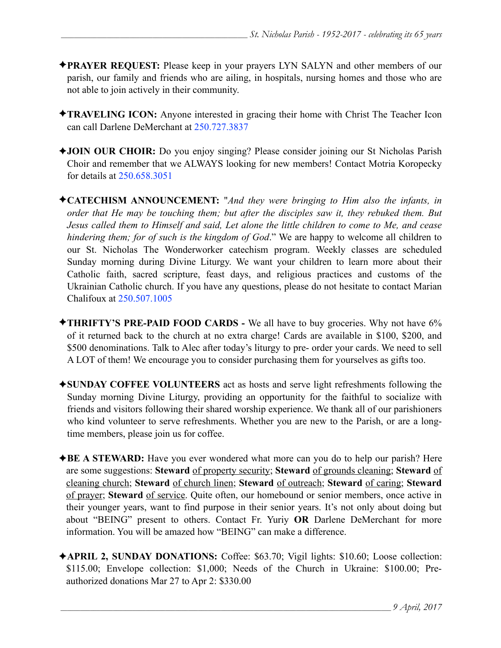- ✦**PRAYER REQUEST:** Please keep in your prayers LYN SALYN and other members of our parish, our family and friends who are ailing, in hospitals, nursing homes and those who are not able to join actively in their community.
- ✦**TRAVELING ICON:** Anyone interested in gracing their home with Christ The Teacher Icon can call Darlene DeMerchant at 250.727.3837
- ✦**JOIN OUR CHOIR:** Do you enjoy singing? Please consider joining our St Nicholas Parish Choir and remember that we ALWAYS looking for new members! Contact Motria Koropecky for details at 250.658.3051
- ✦**CATECHISM ANNOUNCEMENT:** "*And they were bringing to Him also the infants, in order that He may be touching them; but after the disciples saw it, they rebuked them. But Jesus called them to Himself and said, Let alone the little children to come to Me, and cease hindering them; for of such is the kingdom of God*." We are happy to welcome all children to our St. Nicholas The Wonderworker catechism program. Weekly classes are scheduled Sunday morning during Divine Liturgy. We want your children to learn more about their Catholic faith, sacred scripture, feast days, and religious practices and customs of the Ukrainian Catholic church. If you have any questions, please do not hesitate to contact Marian Chalifoux at 250.507.1005
- ✦**THRIFTY'S PRE-PAID FOOD CARDS** We all have to buy groceries. Why not have 6% of it returned back to the church at no extra charge! Cards are available in \$100, \$200, and \$500 denominations. Talk to Alec after today's liturgy to pre- order your cards. We need to sell A LOT of them! We encourage you to consider purchasing them for yourselves as gifts too.
- ✦**SUNDAY COFFEE VOLUNTEERS** act as hosts and serve light refreshments following the Sunday morning Divine Liturgy, providing an opportunity for the faithful to socialize with friends and visitors following their shared worship experience. We thank all of our parishioners who kind volunteer to serve refreshments. Whether you are new to the Parish, or are a longtime members, please join us for coffee.
- ✦**BE A STEWARD:** Have you ever wondered what more can you do to help our parish? Here are some suggestions: **Steward** of property security; **Steward** of grounds cleaning; **Steward** of cleaning church; **Steward** of church linen; **Steward** of outreach; **Steward** of caring; **Steward** of prayer; **Steward** of service. Quite often, our homebound or senior members, once active in their younger years, want to find purpose in their senior years. It's not only about doing but about "BEING" present to others. Contact Fr. Yuriy **OR** Darlene DeMerchant for more information. You will be amazed how "BEING" can make a difference.
- ✦**APRIL 2, SUNDAY DONATIONS:** Coffee: \$63.70; Vigil lights: \$10.60; Loose collection: \$115.00; Envelope collection: \$1,000; Needs of the Church in Ukraine: \$100.00; Preauthorized donations Mar 27 to Apr 2: \$330.00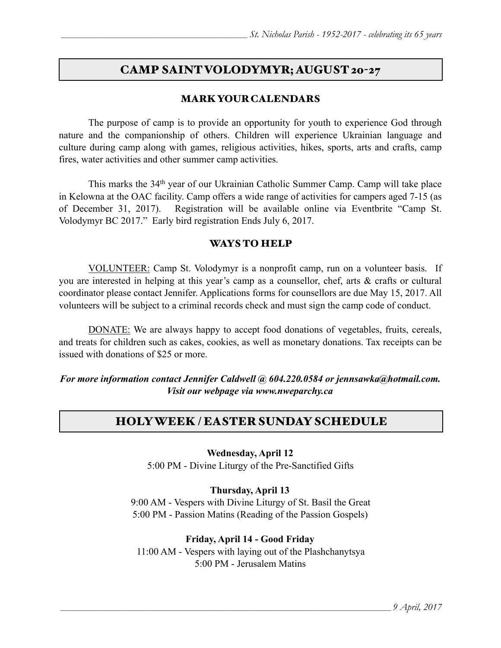# CAMP SAINT VOLODYMYR; AUGUST 20-27

### MARK YOUR CALENDARS

 The purpose of camp is to provide an opportunity for youth to experience God through nature and the companionship of others. Children will experience Ukrainian language and culture during camp along with games, religious activities, hikes, sports, arts and crafts, camp fires, water activities and other summer camp activities.

 This marks the 34th year of our Ukrainian Catholic Summer Camp. Camp will take place in Kelowna at the OAC facility. Camp offers a wide range of activities for campers aged 7-15 (as of December 31, 2017). Registration will be available online via Eventbrite "Camp St. Volodymyr BC 2017." Early bird registration Ends July 6, 2017.

### WAYS TO HELP

VOLUNTEER: Camp St. Volodymyr is a nonprofit camp, run on a volunteer basis. If you are interested in helping at this year's camp as a counsellor, chef, arts & crafts or cultural coordinator please contact Jennifer. Applications forms for counsellors are due May 15, 2017. All volunteers will be subject to a criminal records check and must sign the camp code of conduct.

DONATE: We are always happy to accept food donations of vegetables, fruits, cereals, and treats for children such as cakes, cookies, as well as monetary donations. Tax receipts can be issued with donations of \$25 or more.

*For more information contact Jennifer Caldwell @ 604.220.0584 or [jennsawka@hotmail.com.](mailto:jennsawka@hotmail.com) Visit our webpage via [www.nweparchy.ca](http://www.nweparchy.ca)*

# HOLY WEEK / EASTER SUNDAY SCHEDULE

**Wednesday, April 12** 5:00 PM - Divine Liturgy of the Pre-Sanctified Gifts

# **Thursday, April 13**

9:00 AM - Vespers with Divine Liturgy of St. Basil the Great 5:00 PM - Passion Matins (Reading of the Passion Gospels)

#### **Friday, April 14 - Good Friday**

11:00 AM - Vespers with laying out of the Plashchanytsya 5:00 PM - Jerusalem Matins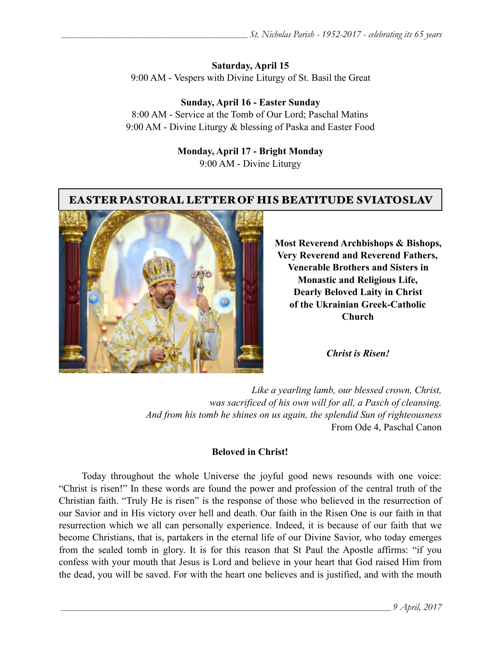**Saturday, April 15**  9:00 AM - Vespers with Divine Liturgy of St. Basil the Great

**Sunday, April 16 - Easter Sunday**  8:00 AM - Service at the Tomb of Our Lord; Paschal Matins 9:00 AM - Divine Liturgy & blessing of Paska and Easter Food

# **Monday, April 17 - Bright Monday**  9:00 AM - Divine Liturgy

# EASTER PASTORAL LETTER OF HIS BEATITUDE SVIATOSLAV



**Most Reverend Archbishops & Bishops, Very Reverend and Reverend Fathers, Venerable Brothers and Sisters in Monastic and Religious Life, Dearly Beloved Laity in Christ of the Ukrainian Greek-Catholic Church**

*Christ is Risen!*

*Like a yearling lamb, our blessed crown, Christ, was sacrificed of his own will for all, a Pasch of cleansing. And from his tomb he shines on us again, the splendid Sun of righteousness*  From Ode 4, Paschal Canon

#### **Beloved in Christ!**

Today throughout the whole Universe the joyful good news resounds with one voice: "Christ is risen!" In these words are found the power and profession of the central truth of the Christian faith. "Truly He is risen" is the response of those who believed in the resurrection of our Savior and in His victory over hell and death. Our faith in the Risen One is our faith in that resurrection which we all can personally experience. Indeed, it is because of our faith that we become Christians, that is, partakers in the eternal life of our Divine Savior, who today emerges from the sealed tomb in glory. It is for this reason that St Paul the Apostle affirms: "if you confess with your mouth that Jesus is Lord and believe in your heart that God raised Him from the dead, you will be saved. For with the heart one believes and is justified, and with the mouth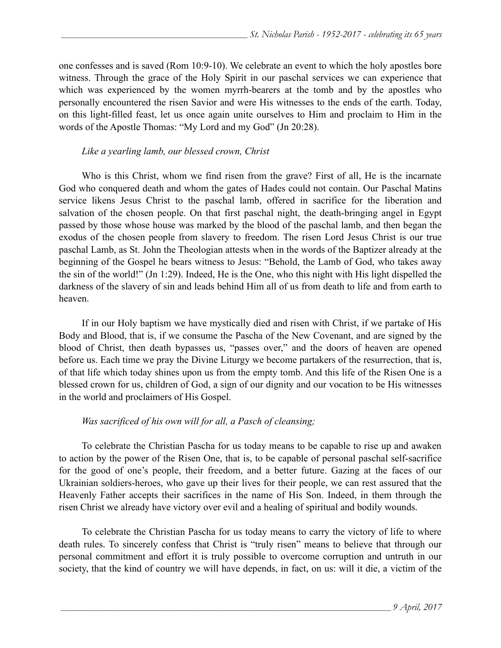one confesses and is saved (Rom 10:9-10). We celebrate an event to which the holy apostles bore witness. Through the grace of the Holy Spirit in our paschal services we can experience that which was experienced by the women myrrh-bearers at the tomb and by the apostles who personally encountered the risen Savior and were His witnesses to the ends of the earth. Today, on this light-filled feast, let us once again unite ourselves to Him and proclaim to Him in the words of the Apostle Thomas: "My Lord and my God" (Jn 20:28).

#### *Like a yearling lamb, our blessed crown, Christ*

Who is this Christ, whom we find risen from the grave? First of all, He is the incarnate God who conquered death and whom the gates of Hades could not contain. Our Paschal Matins service likens Jesus Christ to the paschal lamb, offered in sacrifice for the liberation and salvation of the chosen people. On that first paschal night, the death-bringing angel in Egypt passed by those whose house was marked by the blood of the paschal lamb, and then began the exodus of the chosen people from slavery to freedom. The risen Lord Jesus Christ is our true paschal Lamb, as St. John the Theologian attests when in the words of the Baptizer already at the beginning of the Gospel he bears witness to Jesus: "Behold, the Lamb of God, who takes away the sin of the world!" (Jn 1:29). Indeed, He is the One, who this night with His light dispelled the darkness of the slavery of sin and leads behind Him all of us from death to life and from earth to heaven.

If in our Holy baptism we have mystically died and risen with Christ, if we partake of His Body and Blood, that is, if we consume the Pascha of the New Covenant, and are signed by the blood of Christ, then death bypasses us, "passes over," and the doors of heaven are opened before us. Each time we pray the Divine Liturgy we become partakers of the resurrection, that is, of that life which today shines upon us from the empty tomb. And this life of the Risen One is a blessed crown for us, children of God, a sign of our dignity and our vocation to be His witnesses in the world and proclaimers of His Gospel.

#### *Was sacrificed of his own will for all, a Pasch of cleansing;*

To celebrate the Christian Pascha for us today means to be capable to rise up and awaken to action by the power of the Risen One, that is, to be capable of personal paschal self-sacrifice for the good of one's people, their freedom, and a better future. Gazing at the faces of our Ukrainian soldiers-heroes, who gave up their lives for their people, we can rest assured that the Heavenly Father accepts their sacrifices in the name of His Son. Indeed, in them through the risen Christ we already have victory over evil and a healing of spiritual and bodily wounds.

To celebrate the Christian Pascha for us today means to carry the victory of life to where death rules. To sincerely confess that Christ is "truly risen" means to believe that through our personal commitment and effort it is truly possible to overcome corruption and untruth in our society, that the kind of country we will have depends, in fact, on us: will it die, a victim of the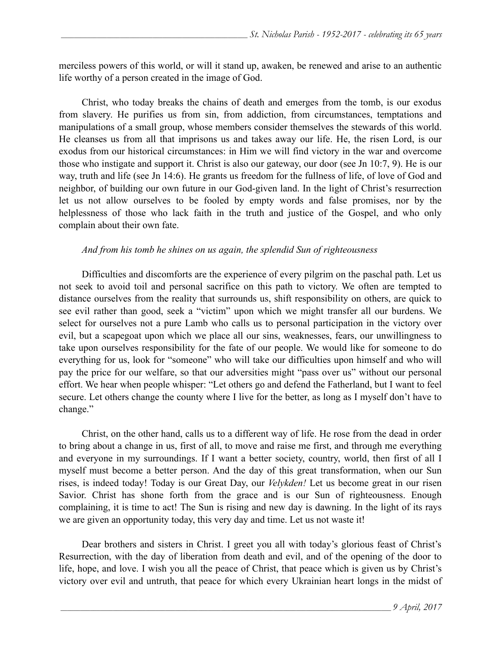merciless powers of this world, or will it stand up, awaken, be renewed and arise to an authentic life worthy of a person created in the image of God.

Christ, who today breaks the chains of death and emerges from the tomb, is our exodus from slavery. He purifies us from sin, from addiction, from circumstances, temptations and manipulations of a small group, whose members consider themselves the stewards of this world. He cleanses us from all that imprisons us and takes away our life. He, the risen Lord, is our exodus from our historical circumstances: in Him we will find victory in the war and overcome those who instigate and support it. Christ is also our gateway, our door (see Jn 10:7, 9). He is our way, truth and life (see Jn 14:6). He grants us freedom for the fullness of life, of love of God and neighbor, of building our own future in our God-given land. In the light of Christ's resurrection let us not allow ourselves to be fooled by empty words and false promises, nor by the helplessness of those who lack faith in the truth and justice of the Gospel, and who only complain about their own fate.

#### *And from his tomb he shines on us again, the splendid Sun of righteousness*

Difficulties and discomforts are the experience of every pilgrim on the paschal path. Let us not seek to avoid toil and personal sacrifice on this path to victory. We often are tempted to distance ourselves from the reality that surrounds us, shift responsibility on others, are quick to see evil rather than good, seek a "victim" upon which we might transfer all our burdens. We select for ourselves not a pure Lamb who calls us to personal participation in the victory over evil, but a scapegoat upon which we place all our sins, weaknesses, fears, our unwillingness to take upon ourselves responsibility for the fate of our people. We would like for someone to do everything for us, look for "someone" who will take our difficulties upon himself and who will pay the price for our welfare, so that our adversities might "pass over us" without our personal effort. We hear when people whisper: "Let others go and defend the Fatherland, but I want to feel secure. Let others change the county where I live for the better, as long as I myself don't have to change."

Christ, on the other hand, calls us to a different way of life. He rose from the dead in order to bring about a change in us, first of all, to move and raise me first, and through me everything and everyone in my surroundings. If I want a better society, country, world, then first of all I myself must become a better person. And the day of this great transformation, when our Sun rises, is indeed today! Today is our Great Day, our *Velykden!* Let us become great in our risen Savior. Christ has shone forth from the grace and is our Sun of righteousness. Enough complaining, it is time to act! The Sun is rising and new day is dawning. In the light of its rays we are given an opportunity today, this very day and time. Let us not waste it!

Dear brothers and sisters in Christ. I greet you all with today's glorious feast of Christ's Resurrection, with the day of liberation from death and evil, and of the opening of the door to life, hope, and love. I wish you all the peace of Christ, that peace which is given us by Christ's victory over evil and untruth, that peace for which every Ukrainian heart longs in the midst of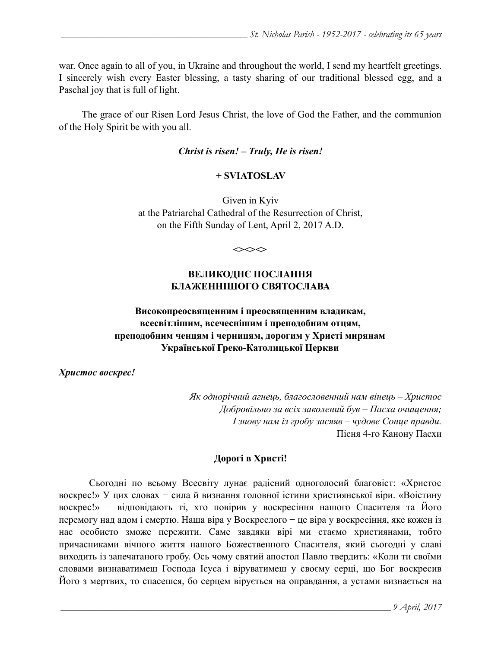war. Once again to all of you, in Ukraine and throughout the world, I send my heartfelt greetings. I sincerely wish every Easter blessing, a tasty sharing of our traditional blessed egg, and a Paschal joy that is full of light.

The grace of our Risen Lord Jesus Christ, the love of God the Father, and the communion of the Holy Spirit be with you all.

#### *Christ is risen! – Truly, He is risen!*

#### **+ SVIATOSLAV**

Given in Kyiv at the Patriarchal Cathedral of the Resurrection of Christ, on the Fifth Sunday of Lent, April 2, 2017 A.D.

**<><><>** 

### **ВЕЛИКОДНЄ ПОСЛАННЯ БЛАЖЕННІШОГО СВЯТОСЛАВА**

# **Високопреосвященним і преосвященним владикам, всесвітлішим, всечеснішим і преподобним отцям, преподобним ченцям і черницям, дорогим у Христі мирянам Української Греко-Католицької Церкви**

*Христос воскрес!* 

*Як однорічний агнець, благословенний нам вінець – Христос Добровільно за всіх заколений був – Пасха очищення; І знову нам із гробу засяяв – чудове Сонце правди.* Пісня 4-го Канону Пасхи

#### **Дорогі в Христі!**

Сьогодні по всьому Всесвіту лунає радісний одноголосий благовіст: «Христос воскрес!» У цих словах - сила й визнання головної істини християнської віри. «Воістину воскрес!» − відповідають ті, хто повірив у воскресіння нашого Спасителя та Його перемогу над адом і смертю. Наша віра у Воскреслого − це віра у воскресіння, яке кожен із нас особисто зможе пережити. Саме завдяки вірі ми стаємо християнами, тобто причасниками вічного життя нашого Божественного Спасителя, який сьогодні у славі виходить із запечатаного гробу. Ось чому святий апостол Павло твердить: «Коли ти своїми словами визнаватимеш Господа Ісуса і віруватимеш у своєму серці, що Бог воскресив Його з мертвих, то спасешся, бо серцем вірується на оправдання, а устами визнається на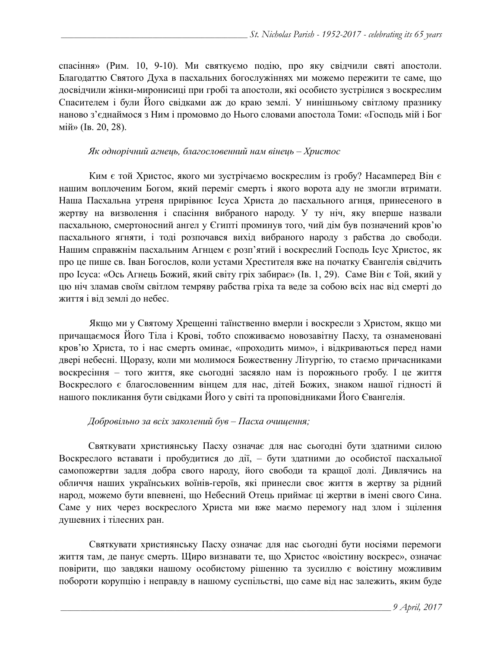спасіння» (Рим. 10, 9-10). Ми святкуємо подію, про яку свідчили святі апостоли. Благодаттю Святого Духа в пасхальних богослужіннях ми можемо пережити те саме, що досвідчили жінки-миронисиці при гробі та апостоли, які особисто зустрілися з воскреслим Спасителем і були Його свідками аж до краю землі. У нинішньому світлому празнику наново з'єднаймося з Ним і промовмо до Нього словами апостола Томи: «Господь мій і Бог мій» (Ів. 20, 28).

#### *Як однорічний агнець, благословенний нам вінець – Христос*

Ким є той Христос, якого ми зустрічаємо воскреслим із гробу? Насамперед Він є нашим воплоченим Богом, який переміг смерть і якого ворота аду не змогли втримати. Наша Пасхальна утреня прирівнює Ісуса Христа до пасхального агнця, принесеного в жертву на визволення і спасіння вибраного народу. У ту ніч, яку вперше назвали пасхальною, смертоносний ангел у Єгипті проминув того, чий дім був позначений кров'ю пасхального ягняти, і тоді розпочався вихід вибраного народу з рабства до свободи. Нашим справжнім пасхальним Агнцем є розп'ятий і воскреслий Господь Ісус Христос, як про це пише св. Іван Богослов, коли устами Хрестителя вже на початку Євангелія свідчить про Ісуса: «Ось Агнець Божий, який світу гріх забирає» (Ів. 1, 29). Саме Він є Той, який у цю ніч зламав своїм світлом темряву рабства гріха та веде за собою всіх нас від смерті до життя і від землі до небес.

Якщо ми у Святому Хрещенні таїнственно вмерли і воскресли з Христом, якщо ми причащаємося Його Тіла і Крові, тобто споживаємо новозавітну Пасху, та ознаменовані кров'ю Христа, то і нас смерть оминає, «проходить мимо», і відкриваються перед нами двері небесні. Щоразу, коли ми молимося Божественну Літургію, то стаємо причасниками воскресіння – того життя, яке сьогодні засяяло нам із порожнього гробу. І це життя Воскреслого є благословенним вінцем для нас, дітей Божих, знаком нашої гідності й нашого покликання бути свідками Його у світі та проповідниками Його Євангелія.

#### *Добровільно за всіх заколений був – Пасха очищення;*

Святкувати християнську Пасху означає для нас сьогодні бути здатними силою Воскреслого вставати і пробудитися до дії, – бути здатними до особистої пасхальної самопожертви задля добра свого народу, його свободи та кращої долі. Дивлячись на обличчя наших українських воїнів-героїв, які принесли своє життя в жертву за рідний народ, можемо бути впевнені, що Небесний Отець приймає ці жертви в імені свого Сина. Саме у них через воскреслого Христа ми вже маємо перемогу над злом і зцілення душевних і тілесних ран.

Святкувати християнську Пасху означає для нас сьогодні бути носіями перемоги життя там, де панує смерть. Щиро визнавати те, що Христос «воістину воскрес», означає повірити, що завдяки нашому особистому рішенню та зусиллю є воістину можливим побороти корупцію і неправду в нашому суспільстві, що саме від нас залежить, яким буде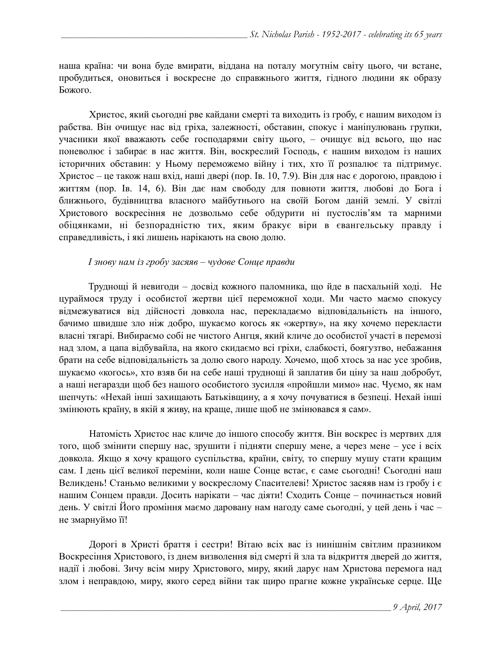наша країна: чи вона буде вмирати, віддана на поталу могутнім світу цього, чи встане, пробудиться, оновиться і воскресне до справжнього життя, гідного людини як образу Божого.

Христос, який сьогодні рве кайдани смерті та виходить із гробу, є нашим виходом із рабства. Він очищує нас від гріха, залежності, обставин, спокус і маніпулювань групки, учасники якої вважають себе господарями світу цього, – очищує від всього, що нас поневолює і забирає в нас життя. Він, воскреслий Господь, є нашим виходом із наших історичних обставин: у Ньому переможемо війну і тих, хто її розпалює та підтримує. Христос – це також наш вхід, наші двері (пор. Ів. 10, 7.9). Він для нас є дорогою, правдою і життям (пор. Ів. 14, 6). Він дає нам свободу для повноти життя, любові до Бога і ближнього, будівництва власного майбутнього на своїй Богом даній землі. У світлі Христового воскресіння не дозвольмо себе обдурити ні пустослів'ям та марними обіцянками, ні безпорадністю тих, яким бракує віри в євангельську правду і справедливість, і які лишень нарікають на свою долю.

#### *І знову нам із гробу засяяв – чудове Сонце правди*

Труднощі й невигоди – досвід кожного паломника, що йде в пасхальній ході. Не цураймося труду і особистої жертви цієї переможної ходи. Ми часто маємо спокусу відмежуватися від дійсності довкола нас, перекладаємо відповідальність на іншого, бачимо швидше зло ніж добро, шукаємо когось як «жертву», на яку хочемо перекласти власні тягарі. Вибираємо собі не чистого Ангця, який кличе до особистої участі в перемозі над злом, а цапа відбувайла, на якого скидаємо всi грiхи, слабкості, боягузтво, небажання брати на себе відповідальність за долю свого народу. Хочемо, щоб хтось за нас усе зробив, шукаємо «когось», хто взяв би на себе наші труднощі й заплатив би ціну за наш добробут, а наші негаразди щоб без нашого особистого зусилля «пройшли мимо» нас. Чуємо, як нам шепчуть: «Нехай інші захищають Батьківщину, а я хочу почуватися в безпеці. Нехай інші змінюють країну, в якій я живу, на краще, лише щоб не змінювався я сам».

Натомiсть Христос нас кличе до iншого способу життя. Він воскрес із мертвих для того, щоб змінити спершу нас, зрушити і підняти спершу мене, а через мене – усе і всіх довкола. Якщо я хочу кращого суспільства, країни, світу, то спершу мушу стати кращим сам. І день цієї великої переміни, коли наше Сонце встає, є саме сьогодні! Сьогодні наш Великдень! Станьмо великими у воскреслому Спасителеві! Христос засяяв нам із гробу і є нашим Сонцем правди. Досить нарікати – час діяти! Сходить Сонце – починається новий день. У світлі Його проміння маємо даровану нам нагоду саме сьогодні, у цей день і час – не змарнуймо її!

Дорогі в Христі браття і сестри! Вітаю всіх вас із нинішнім світлим празником Воскресіння Христового, із днем визволення від смерті й зла та відкриття дверей до життя, надії і любові. Зичу всім миру Христового, миру, який дарує нам Христова перемога над злом і неправдою, миру, якого серед війни так щиро прагне кожне українське серце. Ще